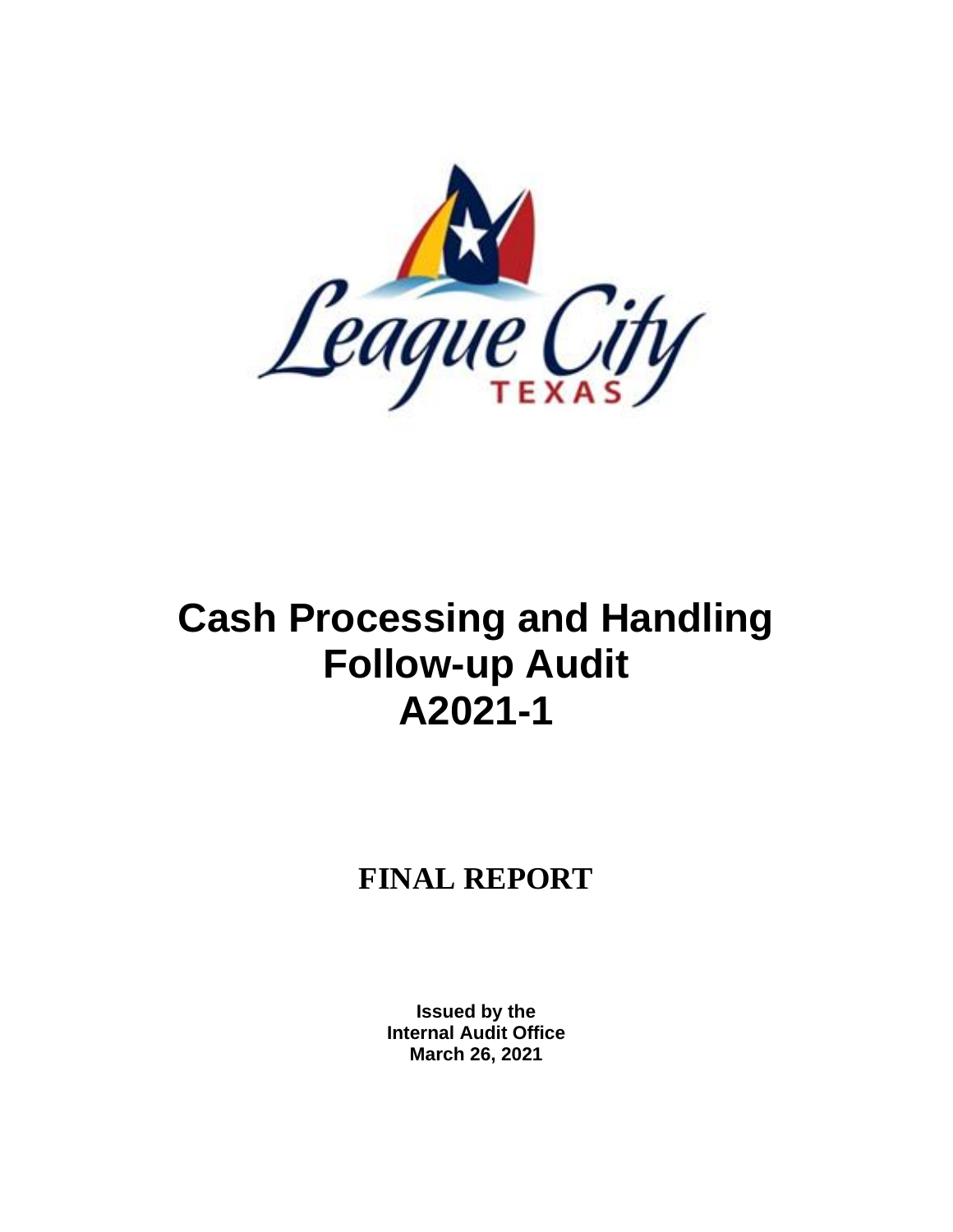

# **Cash Processing and Handling Follow-up Audit A2021-1**

# **FINAL REPORT**

**Issued by the Internal Audit Office March 26, 2021**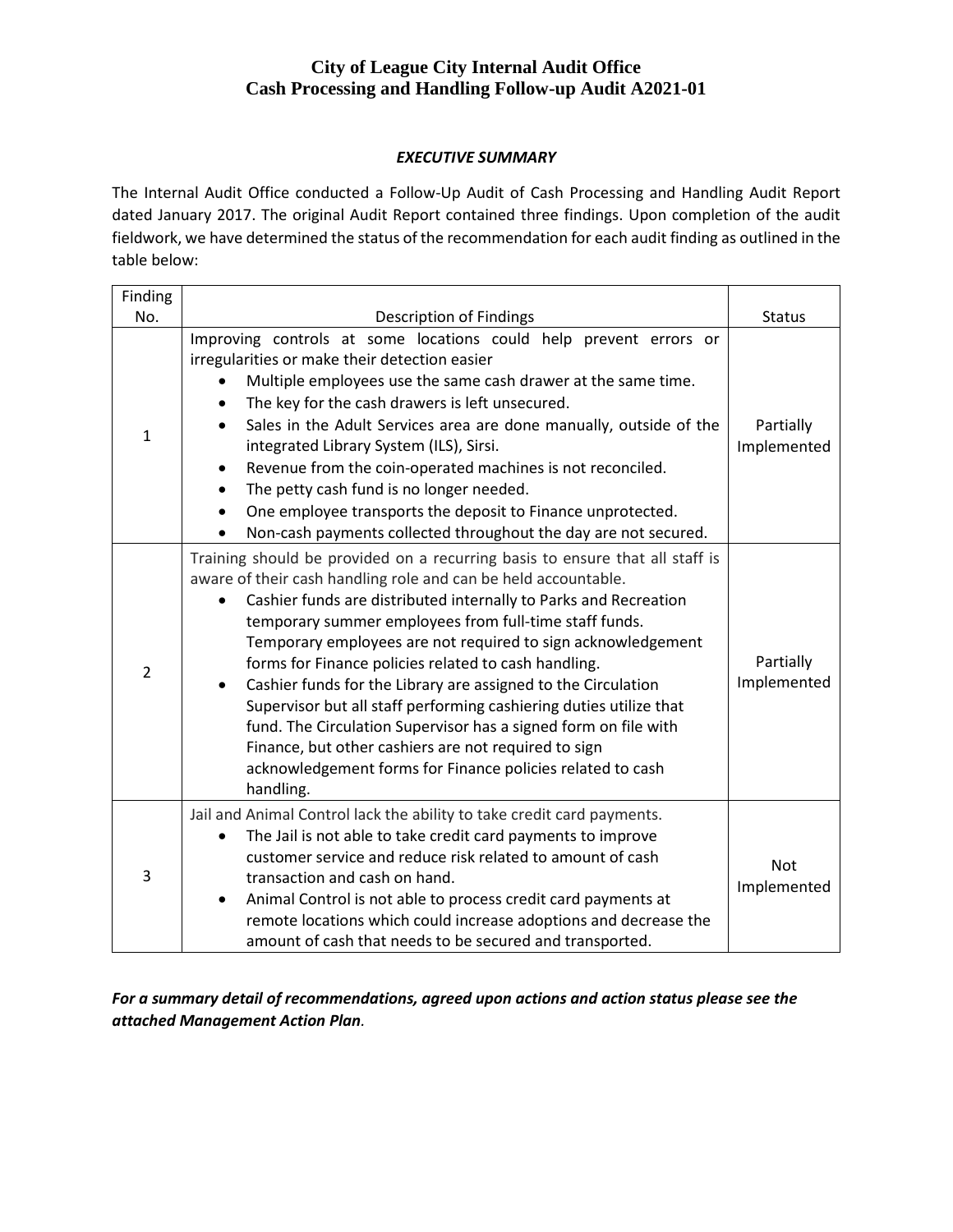#### *EXECUTIVE SUMMARY*

The Internal Audit Office conducted a Follow-Up Audit of Cash Processing and Handling Audit Report dated January 2017. The original Audit Report contained three findings. Upon completion of the audit fieldwork, we have determined the status of the recommendation for each audit finding as outlined in the table below:

| Finding        |                                                                                                                                                                                                                                                                                                                                                                                                                                                                                                                                                                                                                                                                                                                                                                |                           |
|----------------|----------------------------------------------------------------------------------------------------------------------------------------------------------------------------------------------------------------------------------------------------------------------------------------------------------------------------------------------------------------------------------------------------------------------------------------------------------------------------------------------------------------------------------------------------------------------------------------------------------------------------------------------------------------------------------------------------------------------------------------------------------------|---------------------------|
| No.            | Description of Findings                                                                                                                                                                                                                                                                                                                                                                                                                                                                                                                                                                                                                                                                                                                                        | <b>Status</b>             |
| $\mathbf{1}$   | Improving controls at some locations could help prevent errors or<br>irregularities or make their detection easier<br>Multiple employees use the same cash drawer at the same time.<br>The key for the cash drawers is left unsecured.<br>Sales in the Adult Services area are done manually, outside of the<br>$\bullet$<br>integrated Library System (ILS), Sirsi.<br>Revenue from the coin-operated machines is not reconciled.<br>$\bullet$<br>The petty cash fund is no longer needed.<br>One employee transports the deposit to Finance unprotected.<br>Non-cash payments collected throughout the day are not secured.<br>$\bullet$                                                                                                                     | Partially<br>Implemented  |
| $\overline{2}$ | Training should be provided on a recurring basis to ensure that all staff is<br>aware of their cash handling role and can be held accountable.<br>Cashier funds are distributed internally to Parks and Recreation<br>temporary summer employees from full-time staff funds.<br>Temporary employees are not required to sign acknowledgement<br>forms for Finance policies related to cash handling.<br>Cashier funds for the Library are assigned to the Circulation<br>$\bullet$<br>Supervisor but all staff performing cashiering duties utilize that<br>fund. The Circulation Supervisor has a signed form on file with<br>Finance, but other cashiers are not required to sign<br>acknowledgement forms for Finance policies related to cash<br>handling. | Partially<br>Implemented  |
| 3              | Jail and Animal Control lack the ability to take credit card payments.<br>The Jail is not able to take credit card payments to improve<br>$\bullet$<br>customer service and reduce risk related to amount of cash<br>transaction and cash on hand.<br>Animal Control is not able to process credit card payments at<br>$\bullet$<br>remote locations which could increase adoptions and decrease the<br>amount of cash that needs to be secured and transported.                                                                                                                                                                                                                                                                                               | <b>Not</b><br>Implemented |

*For a summary detail of recommendations, agreed upon actions and action status please see the attached Management Action Plan.*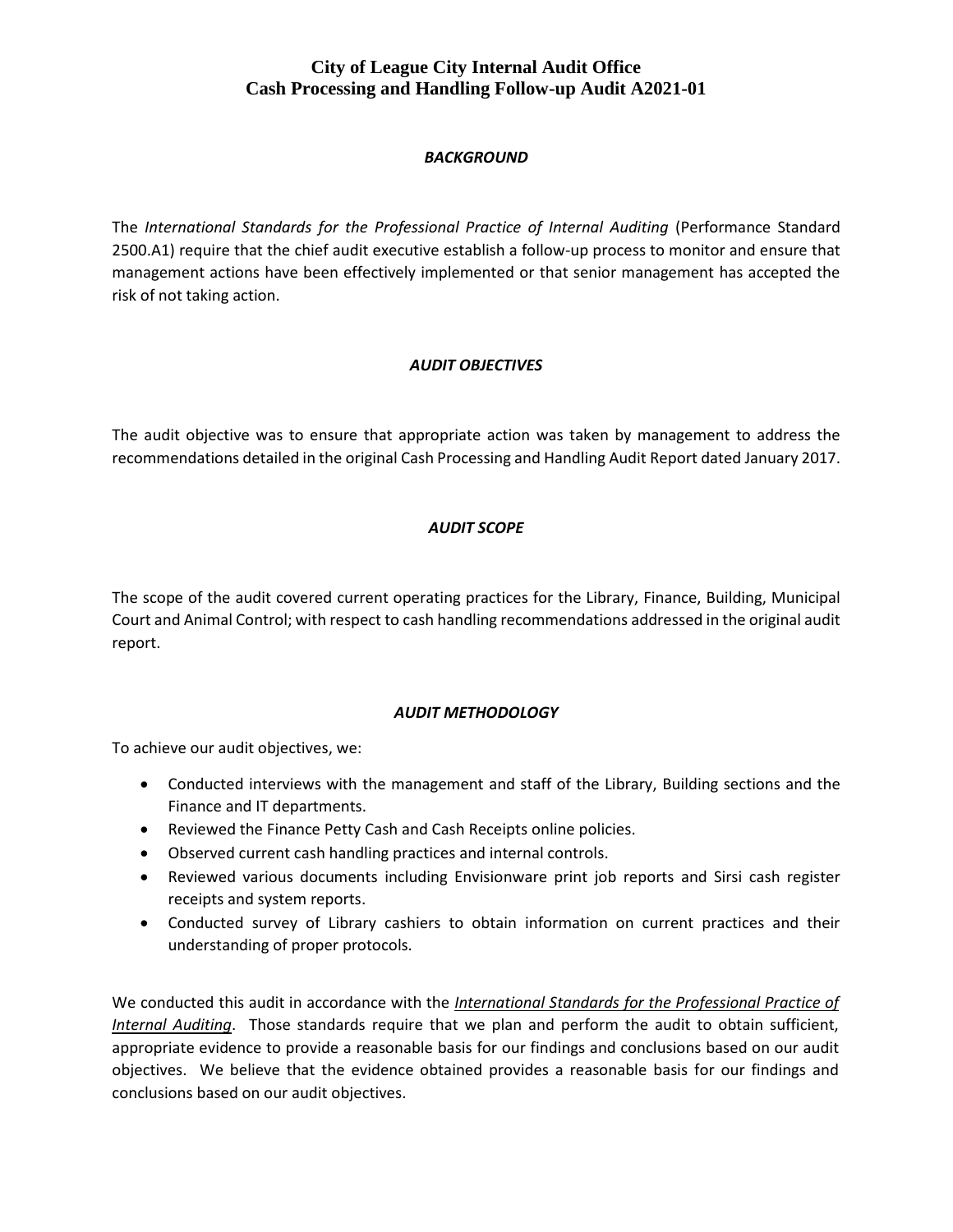#### *BACKGROUND*

The *International Standards for the Professional Practice of Internal Auditing* (Performance Standard 2500.A1) require that the chief audit executive establish a follow-up process to monitor and ensure that management actions have been effectively implemented or that senior management has accepted the risk of not taking action.

#### *AUDIT OBJECTIVES*

The audit objective was to ensure that appropriate action was taken by management to address the recommendations detailed in the original Cash Processing and Handling Audit Report dated January 2017.

#### *AUDIT SCOPE*

The scope of the audit covered current operating practices for the Library, Finance, Building, Municipal Court and Animal Control; with respect to cash handling recommendations addressed in the original audit report.

#### *AUDIT METHODOLOGY*

To achieve our audit objectives, we:

- Conducted interviews with the management and staff of the Library, Building sections and the Finance and IT departments.
- Reviewed the Finance Petty Cash and Cash Receipts online policies.
- Observed current cash handling practices and internal controls.
- Reviewed various documents including Envisionware print job reports and Sirsi cash register receipts and system reports.
- Conducted survey of Library cashiers to obtain information on current practices and their understanding of proper protocols.

We conducted this audit in accordance with the *International Standards for the Professional Practice of Internal Auditing*. Those standards require that we plan and perform the audit to obtain sufficient, appropriate evidence to provide a reasonable basis for our findings and conclusions based on our audit objectives. We believe that the evidence obtained provides a reasonable basis for our findings and conclusions based on our audit objectives.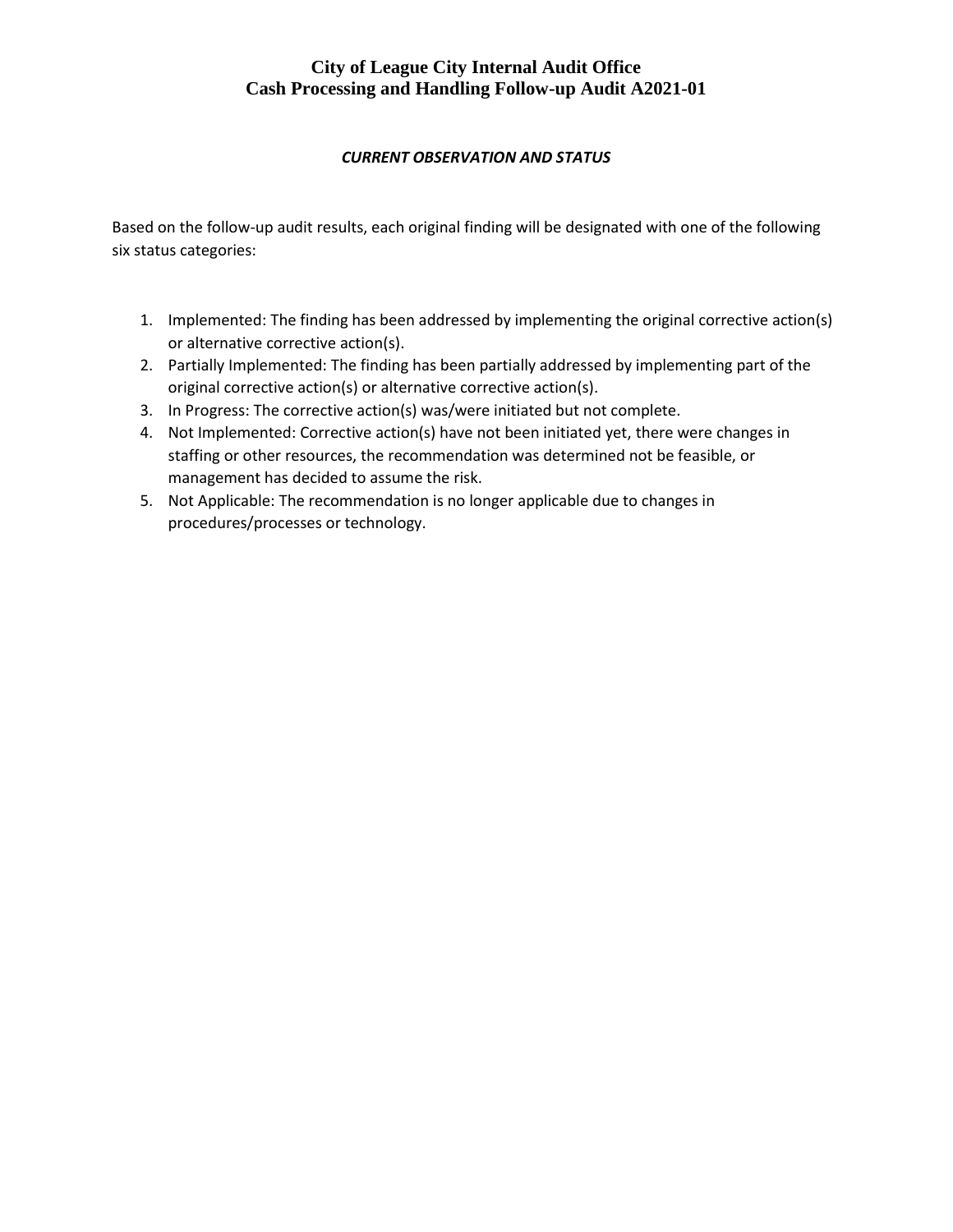#### *CURRENT OBSERVATION AND STATUS*

Based on the follow-up audit results, each original finding will be designated with one of the following six status categories:

- 1. Implemented: The finding has been addressed by implementing the original corrective action(s) or alternative corrective action(s).
- 2. Partially Implemented: The finding has been partially addressed by implementing part of the original corrective action(s) or alternative corrective action(s).
- 3. In Progress: The corrective action(s) was/were initiated but not complete.
- 4. Not Implemented: Corrective action(s) have not been initiated yet, there were changes in staffing or other resources, the recommendation was determined not be feasible, or management has decided to assume the risk.
- 5. Not Applicable: The recommendation is no longer applicable due to changes in procedures/processes or technology.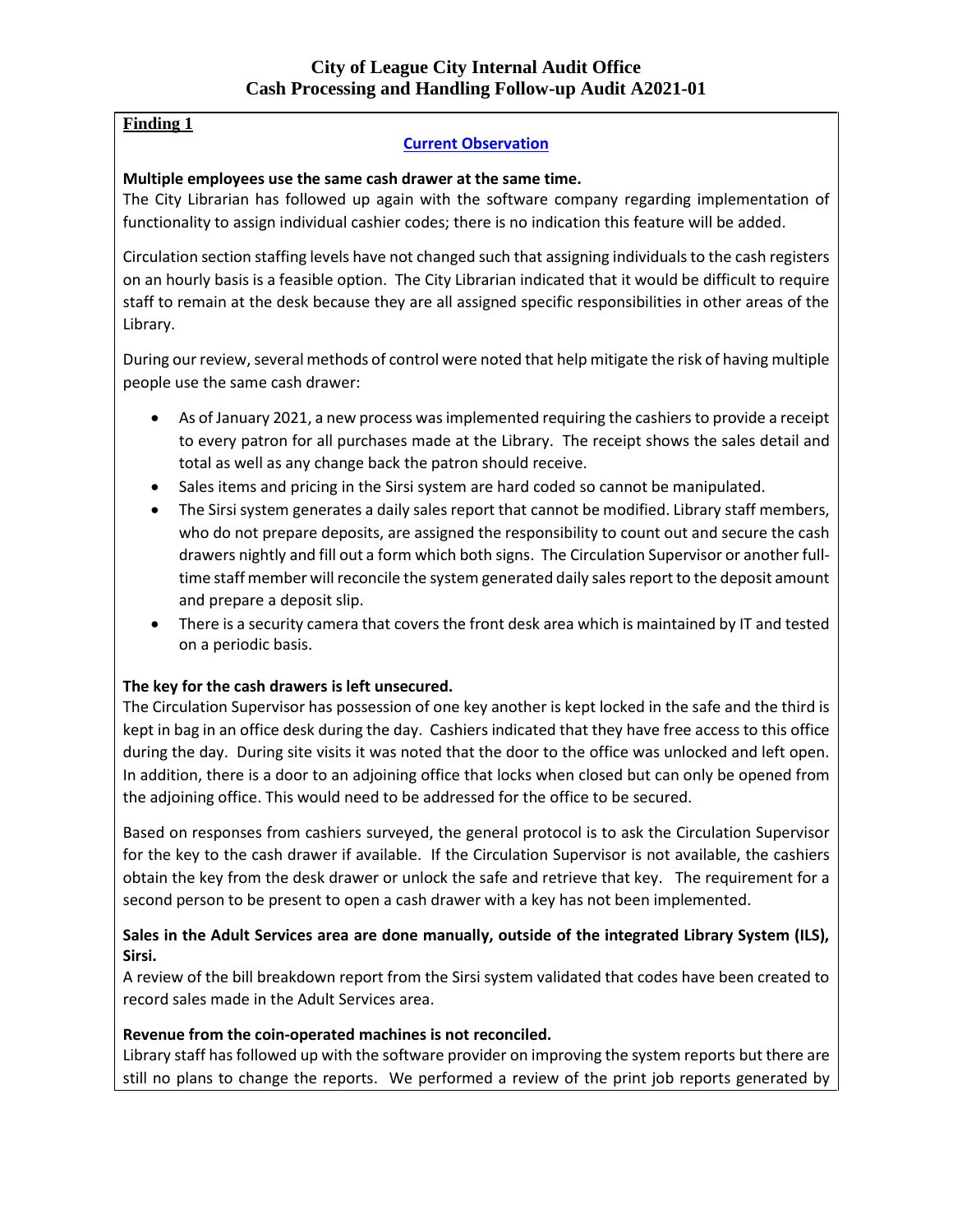# **Finding 1**

# **Current Observation**

#### **Multiple employees use the same cash drawer at the same time.**

The City Librarian has followed up again with the software company regarding implementation of functionality to assign individual cashier codes; there is no indication this feature will be added.

Circulation section staffing levels have not changed such that assigning individuals to the cash registers on an hourly basis is a feasible option. The City Librarian indicated that it would be difficult to require staff to remain at the desk because they are all assigned specific responsibilities in other areas of the Library.

During our review, several methods of control were noted that help mitigate the risk of having multiple people use the same cash drawer:

- As of January 2021, a new process was implemented requiring the cashiers to provide a receipt to every patron for all purchases made at the Library. The receipt shows the sales detail and total as well as any change back the patron should receive.
- Sales items and pricing in the Sirsi system are hard coded so cannot be manipulated.
- The Sirsi system generates a daily sales report that cannot be modified. Library staff members, who do not prepare deposits, are assigned the responsibility to count out and secure the cash drawers nightly and fill out a form which both signs. The Circulation Supervisor or another fulltime staff member will reconcile the system generated daily sales report to the deposit amount and prepare a deposit slip.
- There is a security camera that covers the front desk area which is maintained by IT and tested on a periodic basis.

#### **The key for the cash drawers is left unsecured.**

The Circulation Supervisor has possession of one key another is kept locked in the safe and the third is kept in bag in an office desk during the day. Cashiers indicated that they have free access to this office during the day. During site visits it was noted that the door to the office was unlocked and left open. In addition, there is a door to an adjoining office that locks when closed but can only be opened from the adjoining office. This would need to be addressed for the office to be secured.

Based on responses from cashiers surveyed, the general protocol is to ask the Circulation Supervisor for the key to the cash drawer if available. If the Circulation Supervisor is not available, the cashiers obtain the key from the desk drawer or unlock the safe and retrieve that key. The requirement for a second person to be present to open a cash drawer with a key has not been implemented.

#### **Sales in the Adult Services area are done manually, outside of the integrated Library System (ILS), Sirsi.**

A review of the bill breakdown report from the Sirsi system validated that codes have been created to record sales made in the Adult Services area.

#### **Revenue from the coin-operated machines is not reconciled.**

Library staff has followed up with the software provider on improving the system reports but there are still no plans to change the reports. We performed a review of the print job reports generated by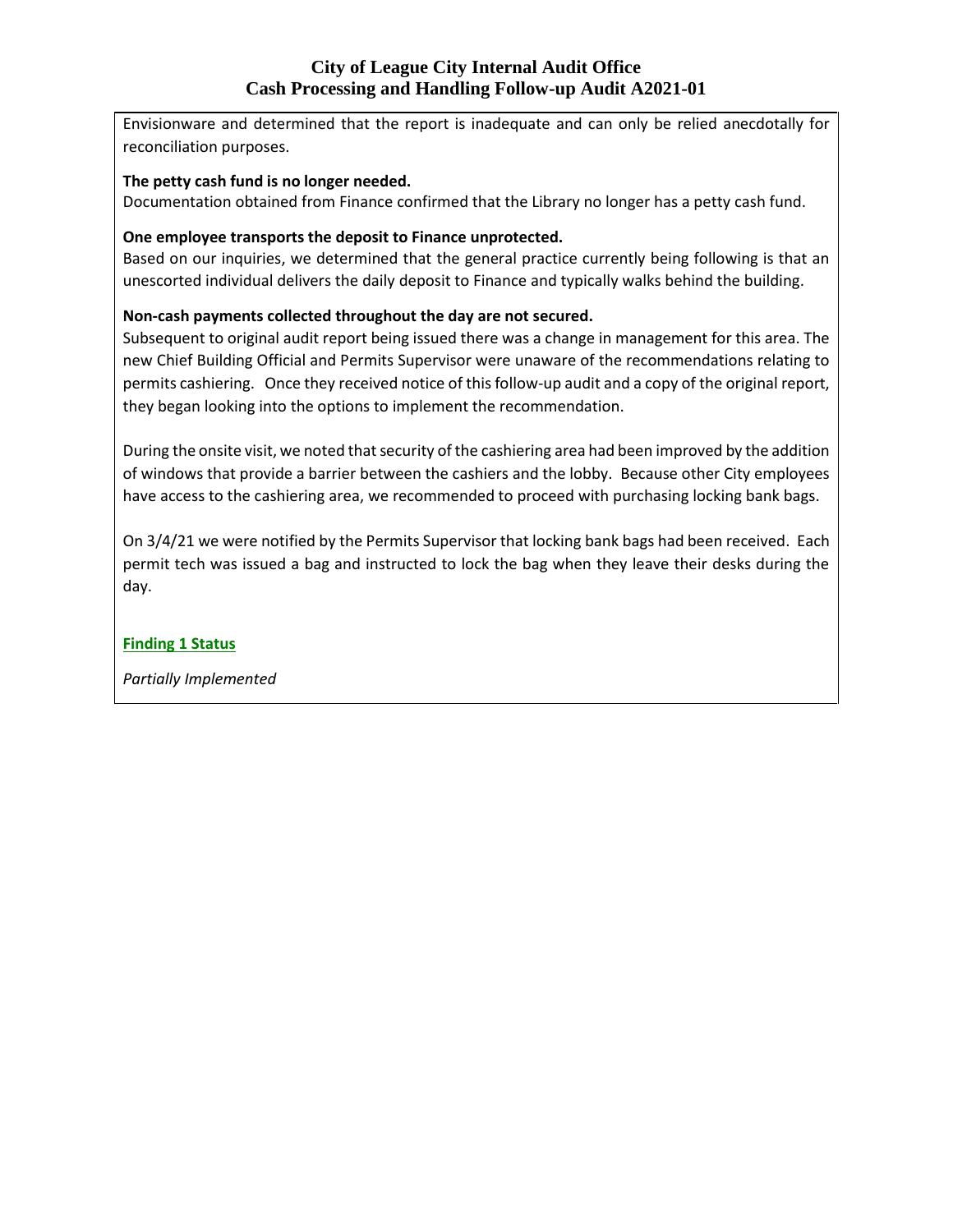Envisionware and determined that the report is inadequate and can only be relied anecdotally for reconciliation purposes.

#### **The petty cash fund is no longer needed.**

Documentation obtained from Finance confirmed that the Library no longer has a petty cash fund.

#### **One employee transports the deposit to Finance unprotected.**

Based on our inquiries, we determined that the general practice currently being following is that an unescorted individual delivers the daily deposit to Finance and typically walks behind the building.

#### **Non-cash payments collected throughout the day are not secured.**

Subsequent to original audit report being issued there was a change in management for this area. The new Chief Building Official and Permits Supervisor were unaware of the recommendations relating to permits cashiering. Once they received notice of this follow-up audit and a copy of the original report, they began looking into the options to implement the recommendation.

During the onsite visit, we noted that security of the cashiering area had been improved by the addition of windows that provide a barrier between the cashiers and the lobby. Because other City employees have access to the cashiering area, we recommended to proceed with purchasing locking bank bags.

On 3/4/21 we were notified by the Permits Supervisor that locking bank bags had been received. Each permit tech was issued a bag and instructed to lock the bag when they leave their desks during the day.

#### **Finding 1 Status**

*Partially Implemented*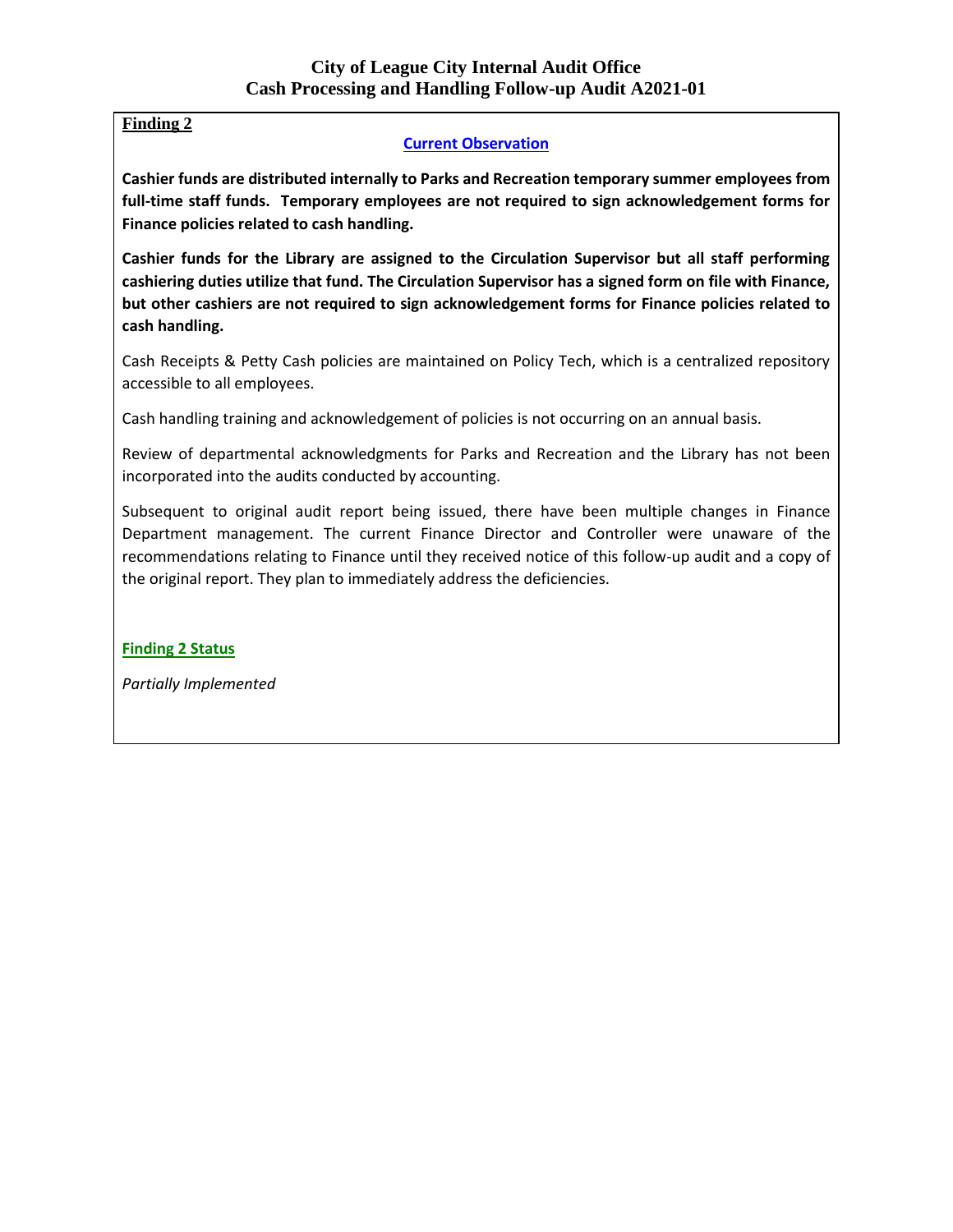# **Finding 2**

#### **Current Observation**

**Cashier funds are distributed internally to Parks and Recreation temporary summer employees from full-time staff funds. Temporary employees are not required to sign acknowledgement forms for Finance policies related to cash handling.** 

**Cashier funds for the Library are assigned to the Circulation Supervisor but all staff performing cashiering duties utilize that fund. The Circulation Supervisor has a signed form on file with Finance, but other cashiers are not required to sign acknowledgement forms for Finance policies related to cash handling.**

Cash Receipts & Petty Cash policies are maintained on Policy Tech, which is a centralized repository accessible to all employees.

Cash handling training and acknowledgement of policies is not occurring on an annual basis.

Review of departmental acknowledgments for Parks and Recreation and the Library has not been incorporated into the audits conducted by accounting.

Subsequent to original audit report being issued, there have been multiple changes in Finance Department management. The current Finance Director and Controller were unaware of the recommendations relating to Finance until they received notice of this follow-up audit and a copy of the original report. They plan to immediately address the deficiencies.

**Finding 2 Status**

*Partially Implemented*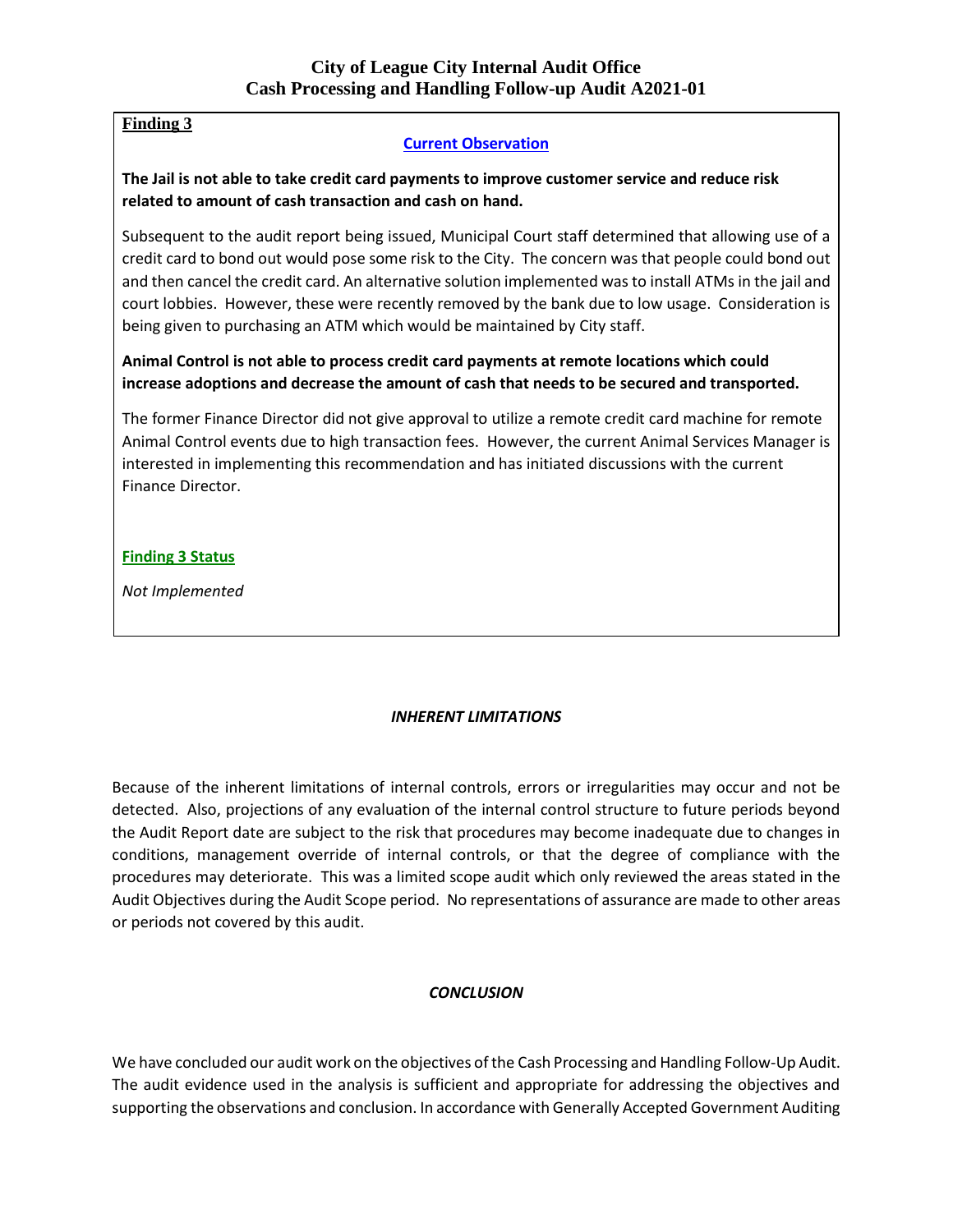# **Finding 3**

#### **Current Observation**

**The Jail is not able to take credit card payments to improve customer service and reduce risk related to amount of cash transaction and cash on hand.**

Subsequent to the audit report being issued, Municipal Court staff determined that allowing use of a credit card to bond out would pose some risk to the City. The concern was that people could bond out and then cancel the credit card. An alternative solution implemented was to install ATMs in the jail and court lobbies. However, these were recently removed by the bank due to low usage. Consideration is being given to purchasing an ATM which would be maintained by City staff.

**Animal Control is not able to process credit card payments at remote locations which could increase adoptions and decrease the amount of cash that needs to be secured and transported.**

The former Finance Director did not give approval to utilize a remote credit card machine for remote Animal Control events due to high transaction fees. However, the current Animal Services Manager is interested in implementing this recommendation and has initiated discussions with the current Finance Director.

#### **Finding 3 Status**

*Not Implemented*

#### *INHERENT LIMITATIONS*

Because of the inherent limitations of internal controls, errors or irregularities may occur and not be detected. Also, projections of any evaluation of the internal control structure to future periods beyond the Audit Report date are subject to the risk that procedures may become inadequate due to changes in conditions, management override of internal controls, or that the degree of compliance with the procedures may deteriorate. This was a limited scope audit which only reviewed the areas stated in the Audit Objectives during the Audit Scope period. No representations of assurance are made to other areas or periods not covered by this audit.

#### *CONCLUSION*

We have concluded our audit work on the objectives of the Cash Processing and Handling Follow-Up Audit. The audit evidence used in the analysis is sufficient and appropriate for addressing the objectives and supporting the observations and conclusion. In accordance with Generally Accepted Government Auditing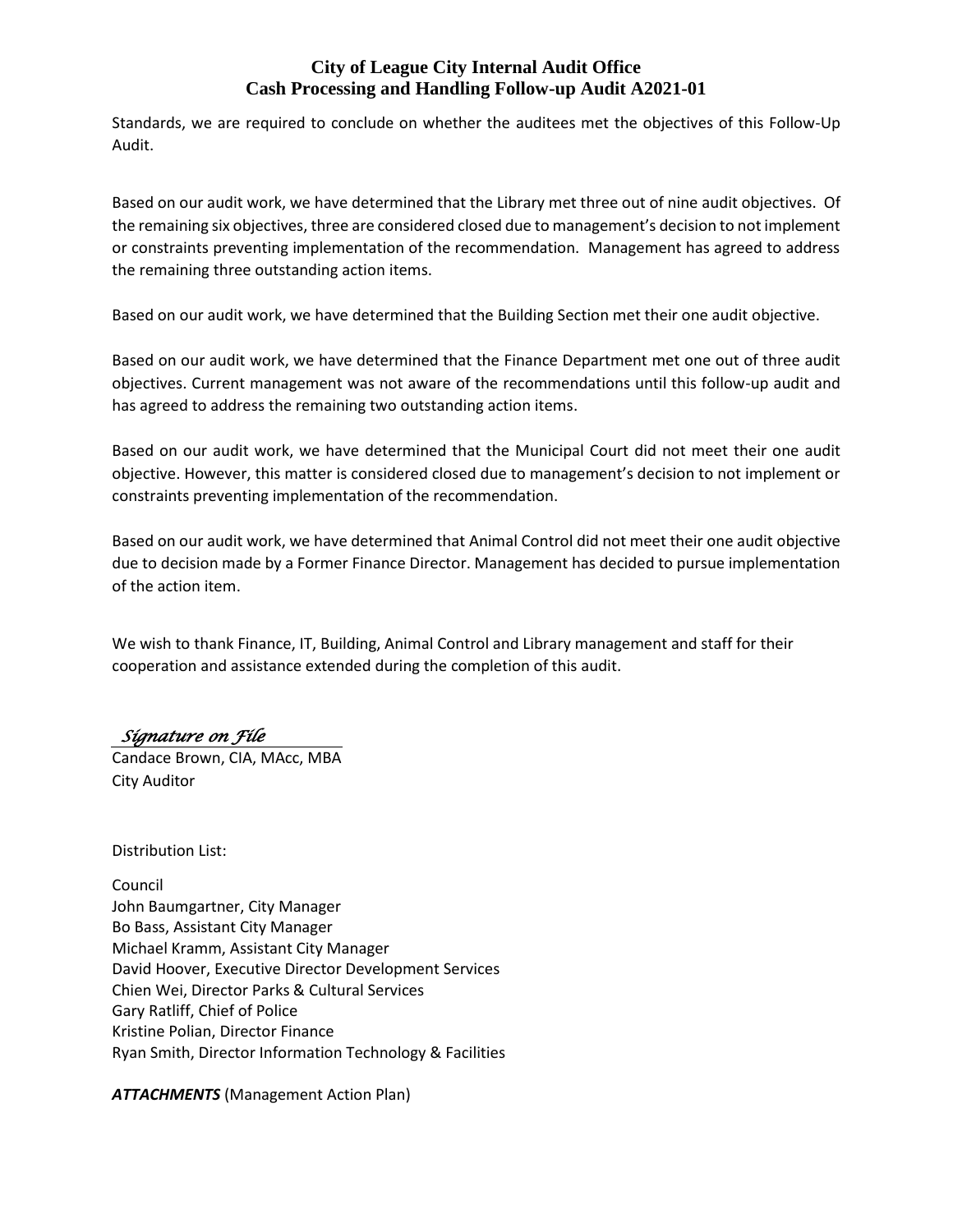Standards, we are required to conclude on whether the auditees met the objectives of this Follow-Up Audit.

Based on our audit work, we have determined that the Library met three out of nine audit objectives. Of the remaining six objectives, three are considered closed due to management's decision to not implement or constraints preventing implementation of the recommendation. Management has agreed to address the remaining three outstanding action items.

Based on our audit work, we have determined that the Building Section met their one audit objective.

Based on our audit work, we have determined that the Finance Department met one out of three audit objectives. Current management was not aware of the recommendations until this follow-up audit and has agreed to address the remaining two outstanding action items.

Based on our audit work, we have determined that the Municipal Court did not meet their one audit objective. However, this matter is considered closed due to management's decision to not implement or constraints preventing implementation of the recommendation.

Based on our audit work, we have determined that Animal Control did not meet their one audit objective due to decision made by a Former Finance Director. Management has decided to pursue implementation of the action item.

We wish to thank Finance, IT, Building, Animal Control and Library management and staff for their cooperation and assistance extended during the completion of this audit.

# *Signature on File*

Candace Brown, CIA, MAcc, MBA City Auditor

Distribution List:

Council John Baumgartner, City Manager Bo Bass, Assistant City Manager Michael Kramm, Assistant City Manager David Hoover, Executive Director Development Services Chien Wei, Director Parks & Cultural Services Gary Ratliff, Chief of Police Kristine Polian, Director Finance Ryan Smith, Director Information Technology & Facilities

*ATTACHMENTS* (Management Action Plan)